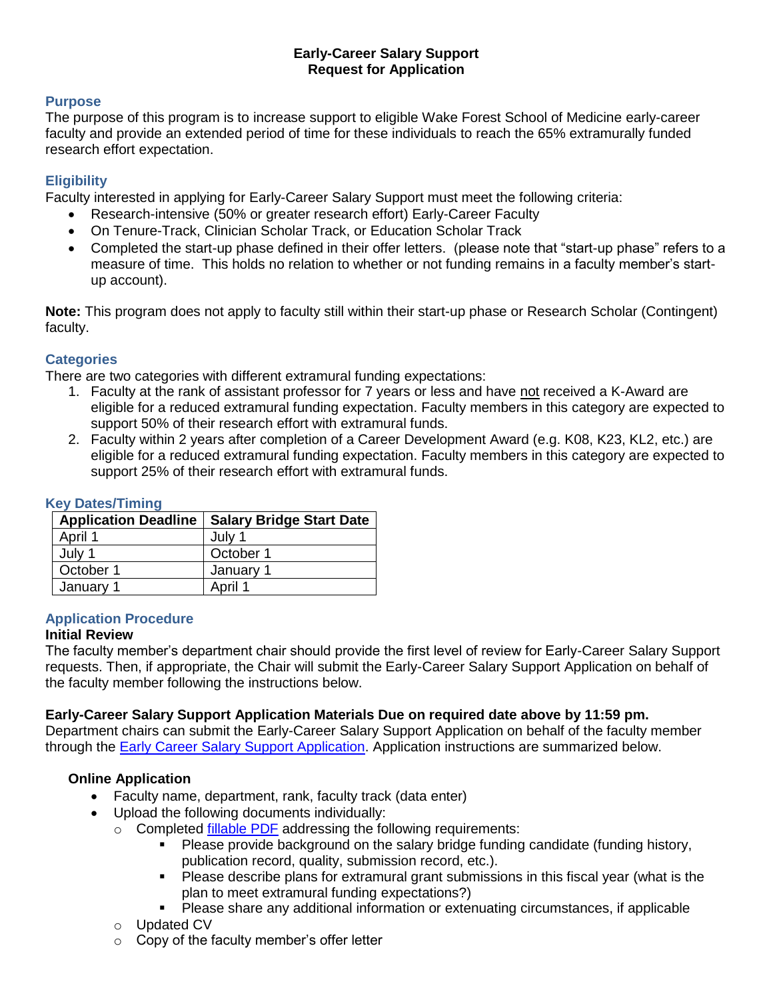# **Early-Career Salary Support Request for Application**

# **Purpose**

The purpose of this program is to increase support to eligible Wake Forest School of Medicine early-career faculty and provide an extended period of time for these individuals to reach the 65% extramurally funded research effort expectation.

# **Eligibility**

Faculty interested in applying for Early-Career Salary Support must meet the following criteria:

- Research-intensive (50% or greater research effort) Early-Career Faculty
- On Tenure-Track, Clinician Scholar Track, or Education Scholar Track
- Completed the start-up phase defined in their offer letters. (please note that "start-up phase" refers to a measure of time. This holds no relation to whether or not funding remains in a faculty member's startup account).

**Note:** This program does not apply to faculty still within their start-up phase or Research Scholar (Contingent) faculty.

# **Categories**

There are two categories with different extramural funding expectations:

- 1. Faculty at the rank of assistant professor for 7 years or less and have not received a K-Award are eligible for a reduced extramural funding expectation. Faculty members in this category are expected to support 50% of their research effort with extramural funds.
- 2. Faculty within 2 years after completion of a Career Development Award (e.g. K08, K23, KL2, etc.) are eligible for a reduced extramural funding expectation. Faculty members in this category are expected to support 25% of their research effort with extramural funds.

|  | <b>Application Deadline</b> | <b>Salary Bridge Start Date</b> |
|--|-----------------------------|---------------------------------|
|  | April 1                     | July 1                          |
|  | July 1                      | October 1                       |
|  | October 1                   | January 1                       |
|  | January 1                   | April 1                         |

# **Key Dates/Timing**

## **Application Procedure**

#### **Initial Review**

The faculty member's department chair should provide the first level of review for Early-Career Salary Support requests. Then, if appropriate, the Chair will submit the Early-Career Salary Support Application on behalf of the faculty member following the instructions below.

## **Early-Career Salary Support Application Materials Due on required date above by 11:59 pm.**

Department chairs can submit the Early-Career Salary Support Application on behalf of the faculty member through the [Early Career Salary Support Application.](https://redcap.wakehealth.edu/redcap/surveys/?s=WWRNHNTCR4) Application instructions are summarized below.

## **Online Application**

- Faculty name, department, rank, faculty track (data enter)
- Upload the following documents individually:
	- o Completed [fillable PDF](https://ctsi.wakehealth.edu/-/media/WakeForest/CTSI/Files/Funding-Opportunities/Bridge--ECSS-Chair-Application.pdf?la=en.) addressing the following requirements:
		- Please provide background on the salary bridge funding candidate (funding history, publication record, quality, submission record, etc.).
		- Please describe plans for extramural grant submissions in this fiscal year (what is the plan to meet extramural funding expectations?)
		- Please share any additional information or extenuating circumstances, if applicable
	- o Updated CV
	- o Copy of the faculty member's offer letter